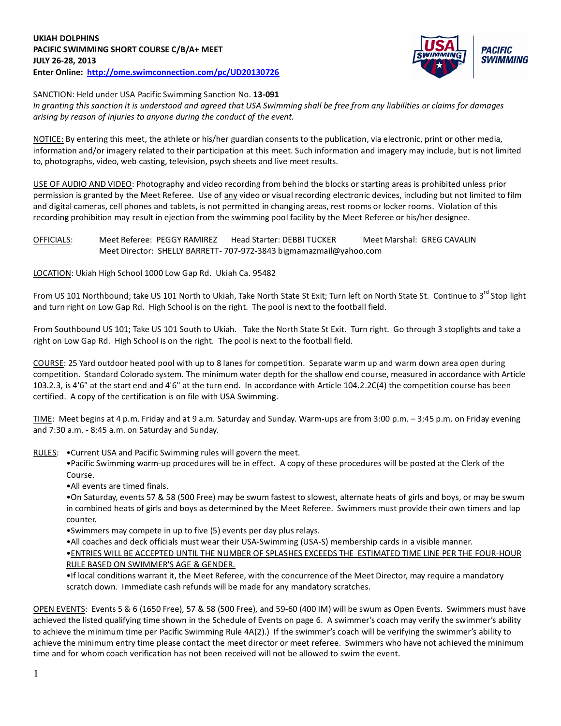

SANCTION: Held under USA Pacific Swimming Sanction No. **13-091**

*In granting this sanction it is understood and agreed that USA Swimming shall be free from any liabilities or claims for damages arising by reason of injuries to anyone during the conduct of the event.*

NOTICE: By entering this meet, the athlete or his/her guardian consents to the publication, via electronic, print or other media, information and/or imagery related to their participation at this meet. Such information and imagery may include, but is not limited to, photographs, video, web casting, television, psych sheets and live meet results.

USE OF AUDIO AND VIDEO: Photography and video recording from behind the blocks or starting areas is prohibited unless prior permission is granted by the Meet Referee. Use of any video or visual recording electronic devices, including but not limited to film and digital cameras, cell phones and tablets, is not permitted in changing areas, rest rooms or locker rooms. Violation of this recording prohibition may result in ejection from the swimming pool facility by the Meet Referee or his/her designee.

OFFICIALS: Meet Referee: PEGGY RAMIREZ Head Starter: DEBBI TUCKER Meet Marshal: GREG CAVALIN Meet Director: SHELLY BARRETT- 707-972-3843 bigmamazmail@yahoo.com

LOCATION: Ukiah High School 1000 Low Gap Rd. Ukiah Ca. 95482

From US 101 Northbound; take US 101 North to Ukiah, Take North State St Exit; Turn left on North State St. Continue to 3<sup>rd</sup> Stop light and turn right on Low Gap Rd. High School is on the right. The pool is next to the football field.

From Southbound US 101; Take US 101 South to Ukiah. Take the North State St Exit. Turn right. Go through 3 stoplights and take a right on Low Gap Rd. High School is on the right. The pool is next to the football field.

COURSE: 25 Yard outdoor heated pool with up to 8 lanes for competition. Separate warm up and warm down area open during competition. Standard Colorado system. The minimum water depth for the shallow end course, measured in accordance with Article 103.2.3, is 4'6" at the start end and 4'6" at the turn end. In accordance with Article 104.2.2C(4) the competition course has been certified. A copy of the certification is on file with USA Swimming.

TIME: Meet begins at 4 p.m. Friday and at 9 a.m. Saturday and Sunday. Warm-ups are from 3:00 p.m. – 3:45 p.m. on Friday evening and 7:30 a.m. - 8:45 a.m. on Saturday and Sunday.

RULES: •Current USA and Pacific Swimming rules will govern the meet.

•Pacific Swimming warm-up procedures will be in effect. A copy of these procedures will be posted at the Clerk of the Course.

•All events are timed finals.

•On Saturday, events 57 & 58 (500 Free) may be swum fastest to slowest, alternate heats of girls and boys, or may be swum in combined heats of girls and boys as determined by the Meet Referee. Swimmers must provide their own timers and lap counter.

•Swimmers may compete in up to five (5) events per day plus relays.

•All coaches and deck officials must wear their USA-Swimming (USA-S) membership cards in a visible manner. •ENTRIES WILL BE ACCEPTED UNTIL THE NUMBER OF SPLASHES EXCEEDS THE ESTIMATED TIME LINE PER THE FOUR-HOUR RULE BASED ON SWIMMER'S AGE & GENDER.

•If local conditions warrant it, the Meet Referee, with the concurrence of the Meet Director, may require a mandatory scratch down. Immediate cash refunds will be made for any mandatory scratches.

OPEN EVENTS: Events 5 & 6 (1650 Free), 57 & 58 (500 Free), and 59-60 (400 IM) will be swum as Open Events. Swimmers must have achieved the listed qualifying time shown in the Schedule of Events on page 6. A swimmer's coach may verify the swimmer's ability to achieve the minimum time per Pacific Swimming Rule 4A(2).) If the swimmer's coach will be verifying the swimmer's ability to achieve the minimum entry time please contact the meet director or meet referee. Swimmers who have not achieved the minimum time and for whom coach verification has not been received will not be allowed to swim the event.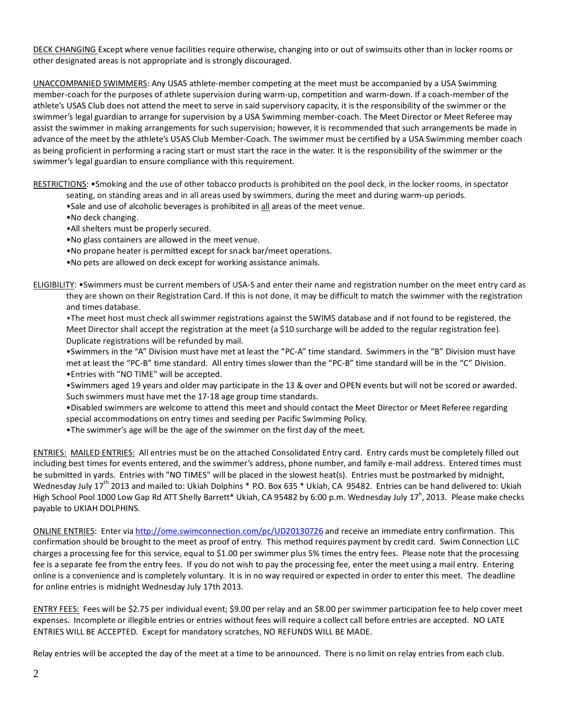DECK CHANGING Except where venue facilities require otherwise, changing into or out of swimsuits other than in locker rooms or other designated areas is not appropriate and is strongly discouraged.

UNACCOMPANIED SWIMMERS: Any USAS athlete-member competing at the meet must be accompanied by a USA Swimming member-coach for the purposes of athlete supervision during warm-up, competition and warm-down. If a coach-member of the athlete's USAS Club does not attend the meet to serve in said supervisory capacity, it is the responsibility of the swimmer or the swimmer's legal guardian to arrange for supervision by a USA Swimming member-coach. The Meet Director or Meet Referee may assist the swimmer in making arrangements for such supervision; however, it is recommended that such arrangements be made in advance of the meet by the athlete's USAS Club Member-Coach. The swimmer must be certified by a USA Swimming member coach as being proficient in performing a racing start or must start the race in the water. It is the responsibility of the swimmer or the swimmer's legal guardian to ensure compliance with this requirement.

RESTRICTIONS: •Smoking and the use of other tobacco products is prohibited on the pool deck, in the locker rooms, in spectator

- seating, on standing areas and in all areas used by swimmers, during the meet and during warm-up periods.
- •Sale and use of alcoholic beverages is prohibited in all areas of the meet venue.
- •No deck changing.
- •All shelters must be properly secured.
- •No glass containers are allowed in the meet venue.
- •No propane heater is permitted except for snack bar/meet operations.
- •No pets are allowed on deck except for working assistance animals.

ELIGIBILITY: •Swimmers must be current members of USA-S and enter their name and registration number on the meet entry card as they are shown on their Registration Card. If this is not done, it may be difficult to match the swimmer with the registration and times database.

•The meet host must check all swimmer registrations against the SWIMS database and if not found to be registered, the Meet Director shall accept the registration at the meet (a \$10 surcharge will be added to the regular registration fee). Duplicate registrations will be refunded by mail.

•Swimmers in the "A" Division must have met at least the "PC-A" time standard. Swimmers in the "B" Division must have met at least the "PC-B" time standard. All entry times slower than the "PC-B" time standard will be in the "C" Division. •Entries with "NO TIME" will be accepted.

•Swimmers aged 19 years and older may participate in the 13 & over and OPEN events but will not be scored or awarded. Such swimmers must have met the 17-18 age group time standards.

•Disabled swimmers are welcome to attend this meet and should contact the Meet Director or Meet Referee regarding special accommodations on entry times and seeding per Pacific Swimming Policy.

•The swimmer's age will be the age of the swimmer on the first day of the meet.

ENTRIES: MAILED ENTRIES: All entries must be on the attached Consolidated Entry card. Entry cards must be completely filled out including best times for events entered, and the swimmer's address, phone number, and family e-mail address. Entered times must be submitted in yards. Entries with "NO TIMES" will be placed in the slowest heat(s). Entries must be postmarked by midnight, Wednesday July 17<sup>th</sup> 2013 and mailed to: Ukiah Dolphins \* P.O. Box 635 \* Ukiah, CA 95482. Entries can be hand delivered to: Ukiah High School Pool 1000 Low Gap Rd ATT Shelly Barrett\* Ukiah, CA 95482 by 6:00 p.m. Wednesday July 17<sup>h</sup>, 2013. Please make checks payable to UKIAH DOLPHINS.

ONLINE ENTRIES: Enter via <http://ome.swimconnection.com/pc/UD20130726> and receive an immediate entry confirmation. This confirmation should be brought to the meet as proof of entry. This method requires payment by credit card. Swim Connection LLC charges a processing fee for this service, equal to \$1.00 per swimmer plus 5% times the entry fees. Please note that the processing fee is a separate fee from the entry fees. If you do not wish to pay the processing fee, enter the meet using a mail entry. Entering online is a convenience and is completely voluntary. It is in no way required or expected in order to enter this meet. The deadline for online entries is midnight Wednesday July 17th 2013.

ENTRY FEES: Fees will be \$2.75 per individual event; \$9.00 per relay and an \$8.00 per swimmer participation fee to help cover meet expenses. Incomplete or illegible entries or entries without fees will require a collect call before entries are accepted. NO LATE ENTRIES WILL BE ACCEPTED. Except for mandatory scratches, NO REFUNDS WILL BE MADE.

Relay entries will be accepted the day of the meet at a time to be announced. There is no limit on relay entries from each club.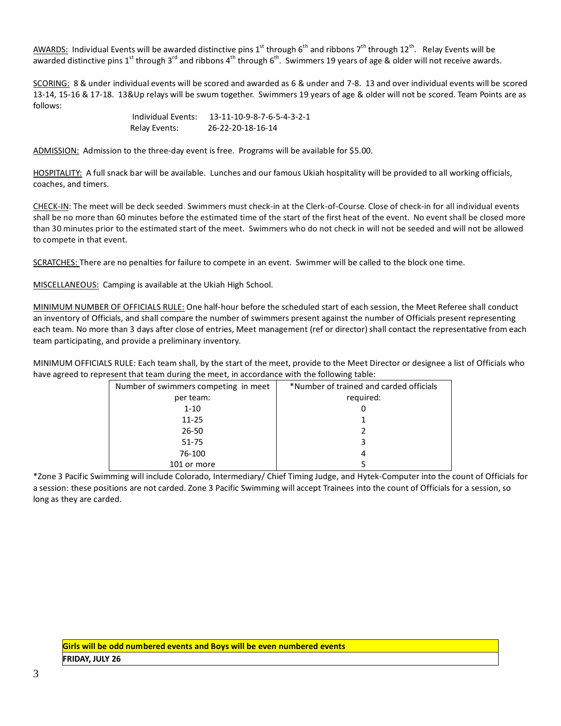AWARDS: Individual Events will be awarded distinctive pins 1<sup>st</sup> through 6<sup>th</sup> and ribbons 7<sup>th</sup> through 12<sup>th</sup>. Relay Events will be awarded distinctive pins 1<sup>st</sup> through 3<sup>rd</sup> and ribbons 4<sup>th</sup> through 6<sup>th</sup>. Swimmers 19 years of age & older will not receive awards.

SCORING: 8 & under individual events will be scored and awarded as 6 & under and 7-8. 13 and over individual events will be scored 13-14, 15-16 & 17-18. 13&Up relays will be swum together. Swimmers 19 years of age & older will not be scored. Team Points are as follows:

> Individual Events: 13-11-10-9-8-7-6-5-4-3-2-1 Relay Events: 26-22-20-18-16-14

ADMISSION: Admission to the three-day event is free. Programs will be available for \$5.00.

HOSPITALITY: A full snack bar will be available. Lunches and our famous Ukiah hospitality will be provided to all working officials, coaches, and timers.

CHECK-IN: The meet will be deck seeded. Swimmers must check-in at the Clerk-of-Course. Close of check-in for all individual events shall be no more than 60 minutes before the estimated time of the start of the first heat of the event. No event shall be closed more than 30 minutes prior to the estimated start of the meet. Swimmers who do not check in will not be seeded and will not be allowed to compete in that event.

SCRATCHES: There are no penalties for failure to compete in an event. Swimmer will be called to the block one time.

MISCELLANEOUS: Camping is available at the Ukiah High School.

MINIMUM NUMBER OF OFFICIALS RULE: One half-hour before the scheduled start of each session, the Meet Referee shall conduct an inventory of Officials, and shall compare the number of swimmers present against the number of Officials present representing each team. No more than 3 days after close of entries, Meet management (ref or director) shall contact the representative from each team participating, and provide a preliminary inventory.

MINIMUM OFFICIALS RULE: Each team shall, by the start of the meet, provide to the Meet Director or designee a list of Officials who have agreed to represent that team during the meet, in accordance with the following table:

| Number of swimmers competing in meet | *Number of trained and carded officials |
|--------------------------------------|-----------------------------------------|
| per team:                            | required:                               |
| $1 - 10$                             | 0                                       |
| $11 - 25$                            |                                         |
| $26 - 50$                            |                                         |
| 51-75                                | 3                                       |
| 76-100                               | 4                                       |
| 101 or more                          |                                         |

\*Zone 3 Pacific Swimming will include Colorado, Intermediary/ Chief Timing Judge, and Hytek-Computer into the count of Officials for a session: these positions are not carded. Zone 3 Pacific Swimming will accept Trainees into the count of Officials for a session, so long as they are carded.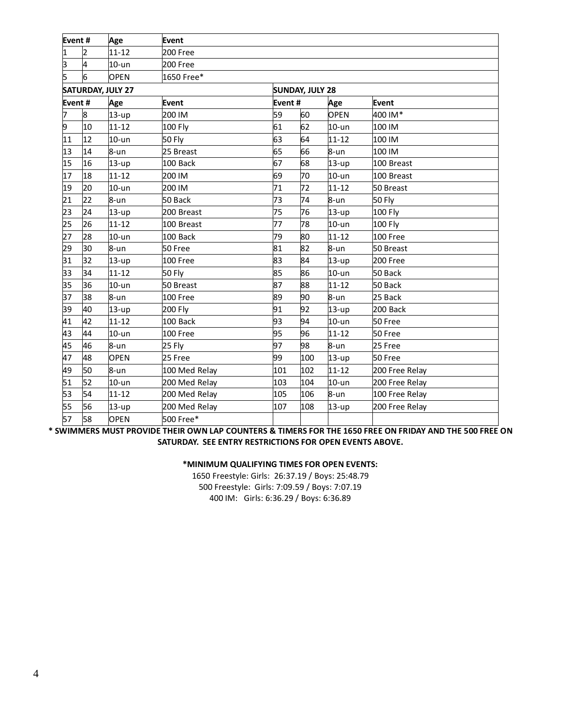| Event# |    | Age                      | Event         |         |                        |             |                |  |  |  |  |  |  |
|--------|----|--------------------------|---------------|---------|------------------------|-------------|----------------|--|--|--|--|--|--|
| 1      | 2  | $11 - 12$                | 200 Free      |         |                        |             |                |  |  |  |  |  |  |
| þ      | 4  | $10-$ un                 | 200 Free      |         |                        |             |                |  |  |  |  |  |  |
| 5      | 6  | <b>OPEN</b>              | 1650 Free*    |         |                        |             |                |  |  |  |  |  |  |
|        |    | <b>SATURDAY, JULY 27</b> |               |         | <b>SUNDAY, JULY 28</b> |             |                |  |  |  |  |  |  |
| Event# |    | Age                      | Event         | Event # |                        | Age         | Event          |  |  |  |  |  |  |
| 7      | 8  | $13-up$                  | 200 IM        | 59      | 60                     | <b>OPEN</b> | 400 IM*        |  |  |  |  |  |  |
| 9      | 10 | $11 - 12$                | 100 Fly       | 61      | 62                     | $10-$ un    | 100 IM         |  |  |  |  |  |  |
| 11     | 12 | $10-$ un                 | 50 Fly        | 63      | 64<br>$11 - 12$        |             | 100 IM         |  |  |  |  |  |  |
| 13     | 14 | $8 - un$                 | 25 Breast     | 65      | 66                     | $8 - un$    | 100 IM         |  |  |  |  |  |  |
| 15     | 16 | $13-up$                  | 100 Back      | 67      | 68                     | $13-up$     | 100 Breast     |  |  |  |  |  |  |
| 17     | 18 | $11 - 12$                | 200 IM        | 69      | 70                     | $10-$ un    | 100 Breast     |  |  |  |  |  |  |
| 19     | 20 | $10-$ un                 | 200 IM        | 71      | 72                     | $11 - 12$   | 50 Breast      |  |  |  |  |  |  |
| 21     | 22 | 8-un                     | 50 Back       | 73      | 74                     | 8-un        | 50 Fly         |  |  |  |  |  |  |
| 23     | 24 | $13-up$                  | 200 Breast    | 75      | 76                     | 13-up       | 100 Fly        |  |  |  |  |  |  |
| 25     | 26 | $11 - 12$                | 100 Breast    | 77      | 78                     | $10-$ un    | 100 Fly        |  |  |  |  |  |  |
| 27     | 28 | $10-$ un                 | 100 Back      | 79      | 80                     | $11 - 12$   | 100 Free       |  |  |  |  |  |  |
| 29     | 30 | 8-un                     | 50 Free       | 81      | 82                     | 8-un        | 50 Breast      |  |  |  |  |  |  |
| 31     | 32 | $13-up$                  | 100 Free      | 83      | 84                     | $13-up$     | 200 Free       |  |  |  |  |  |  |
| 33     | 34 | $11 - 12$                | <b>50 Fly</b> | 85      | 86                     | $10-$ un    | 50 Back        |  |  |  |  |  |  |
| 35     | 36 | $10 - un$                | 50 Breast     | 87      | 88                     | $11 - 12$   | 50 Back        |  |  |  |  |  |  |
| 37     | 38 | $8 - un$                 | 100 Free      | 89      | 90                     | $8 - un$    | 25 Back        |  |  |  |  |  |  |
| 39     | 40 | 13-up                    | 200 Fly       | 91      | 92                     | $13-up$     | 200 Back       |  |  |  |  |  |  |
| 41     | 42 | $11 - 12$                | 100 Back      | 93      | 94                     | $10-$ un    | 50 Free        |  |  |  |  |  |  |
| 43     | 44 | $10-$ un                 | 100 Free      | 95      | 96                     | $11 - 12$   | 50 Free        |  |  |  |  |  |  |
| 45     | 46 | $8 - un$                 | 25 Fly        | 97      | 98                     | 8-un        | 25 Free        |  |  |  |  |  |  |
| 47     | 48 | <b>OPEN</b>              | 25 Free       | 99      | 100                    | $13-up$     | 50 Free        |  |  |  |  |  |  |
| 49     | 50 | $8 - un$                 | 100 Med Relay | 101     | 102                    | $11 - 12$   | 200 Free Relay |  |  |  |  |  |  |
| 51     | 52 | $10-$ un                 | 200 Med Relay | 103     | 104                    | $10-$ un    | 200 Free Relay |  |  |  |  |  |  |
| 53     | 54 | 11-12                    | 200 Med Relay | 105     | 106                    | 8-un        | 100 Free Relay |  |  |  |  |  |  |
| 55     | 56 | $13-up$                  | 200 Med Relay | 107     | 108                    | 13-up       | 200 Free Relay |  |  |  |  |  |  |
| 57     | 58 | <b>OPEN</b>              | 500 Free*     |         |                        |             |                |  |  |  |  |  |  |

**\* SWIMMERS MUST PROVIDE THEIR OWN LAP COUNTERS & TIMERS FOR THE 1650 FREE ON FRIDAY AND THE 500 FREE ON SATURDAY. SEE ENTRY RESTRICTIONS FOR OPEN EVENTS ABOVE.**

## **\*MINIMUM QUALIFYING TIMES FOR OPEN EVENTS:**

1650 Freestyle: Girls: 26:37.19 / Boys: 25:48.79 500 Freestyle: Girls: 7:09.59 / Boys: 7:07.19 400 IM: Girls: 6:36.29 / Boys: 6:36.89